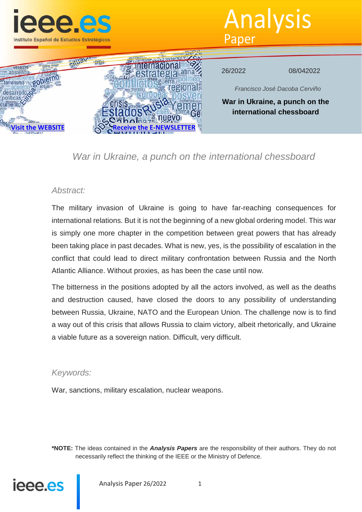

Analysis Paper



# *War in Ukraine, a punch on the international chessboard*

## *Abstract:*

The military invasion of Ukraine is going to have far-reaching consequences for international relations. But it is not the beginning of a new global ordering model. This war is simply one more chapter in the competition between great powers that has already been taking place in past decades. What is new, yes, is the possibility of escalation in the conflict that could lead to direct military confrontation between Russia and the North Atlantic Alliance. Without proxies, as has been the case until now.

The bitterness in the positions adopted by all the actors involved, as well as the deaths and destruction caused, have closed the doors to any possibility of understanding between Russia, Ukraine, NATO and the European Union. The challenge now is to find a way out of this crisis that allows Russia to claim victory, albeit rhetorically, and Ukraine a viable future as a sovereign nation. Difficult, very difficult.

### *Keywords:*

War, sanctions, military escalation, nuclear weapons.

**\*NOTE:** The ideas contained in the *Analysis Papers* are the responsibility of their authors. They do not necessarily reflect the thinking of the IEEE or the Ministry of Defence.



Analysis Paper 26/2022 1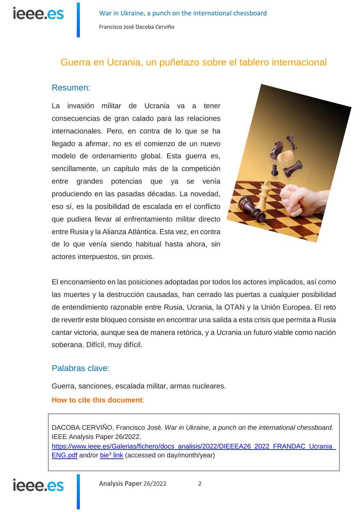ieee.es

# Guerra en Ucrania, un puñetazo sobre el tablero internacional

# Resumen:

La invasión militar de Ucrania va a tener consecuencias de gran calado para las relaciones internacionales. Pero, en contra de lo que se ha llegado a afirmar, no es el comienzo de un nuevo modelo de ordenamiento global. Esta guerra es, sencillamente, un capítulo más de la competición entre grandes potencias que ya se venía produciendo en las pasadas décadas. La novedad, eso sí, es la posibilidad de escalada en el conflicto que pudiera llevar al enfrentamiento militar directo entre Rusia y la Alianza Atlántica. Esta vez, en contra de lo que venía siendo habitual hasta ahora, sin actores interpuestos, sin proxis.



El enconamiento en las posiciones adoptadas por todos los actores implicados, así como las muertes y la destrucción causadas, han cerrado las puertas a cualquier posibilidad de entendimiento razonable entre Rusia, Ucrania, la OTAN y la Unión Europea. El reto de revertir este bloqueo consiste en encontrar una salida a esta crisis que permita a Rusia cantar victoria, aunque sea de manera retórica, y a Ucrania un futuro viable como nación soberana. Difícil, muy difícil.

## Palabras clave:

Guerra, sanciones, escalada militar, armas nucleares.

### **How to cite this document**:

DACOBA CERVIÑO, Francisco José. *War in Ukraine, a punch on the international chessboard.* IEEE Analysis Paper 26/2022.

https://www.ieee.es/Galerias/fichero/docs\_analisis/2022/DIEEEA26\_2022\_FRANDAC\_Ucrania ENG.pdf and/or bie<sup>3</sup> link (accessed on day/month/year)

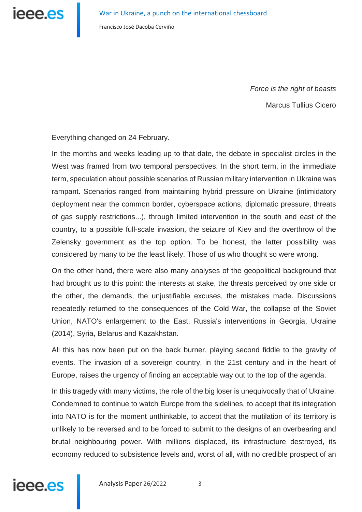*Force is the right of beasts* Marcus Tullius Cicero

Everything changed on 24 February.

In the months and weeks leading up to that date, the debate in specialist circles in the West was framed from two temporal perspectives. In the short term, in the immediate term, speculation about possible scenarios of Russian military intervention in Ukraine was rampant. Scenarios ranged from maintaining hybrid pressure on Ukraine (intimidatory deployment near the common border, cyberspace actions, diplomatic pressure, threats of gas supply restrictions...), through limited intervention in the south and east of the country, to a possible full-scale invasion, the seizure of Kiev and the overthrow of the Zelensky government as the top option. To be honest, the latter possibility was considered by many to be the least likely. Those of us who thought so were wrong.

On the other hand, there were also many analyses of the geopolitical background that had brought us to this point: the interests at stake, the threats perceived by one side or the other, the demands, the unjustifiable excuses, the mistakes made. Discussions repeatedly returned to the consequences of the Cold War, the collapse of the Soviet Union, NATO's enlargement to the East, Russia's interventions in Georgia, Ukraine (2014), Syria, Belarus and Kazakhstan.

All this has now been put on the back burner, playing second fiddle to the gravity of events. The invasion of a sovereign country, in the 21st century and in the heart of Europe, raises the urgency of finding an acceptable way out to the top of the agenda.

In this tragedy with many victims, the role of the big loser is unequivocally that of Ukraine. Condemned to continue to watch Europe from the sidelines, to accept that its integration into NATO is for the moment unthinkable, to accept that the mutilation of its territory is unlikely to be reversed and to be forced to submit to the designs of an overbearing and brutal neighbouring power. With millions displaced, its infrastructure destroyed, its economy reduced to subsistence levels and, worst of all, with no credible prospect of an

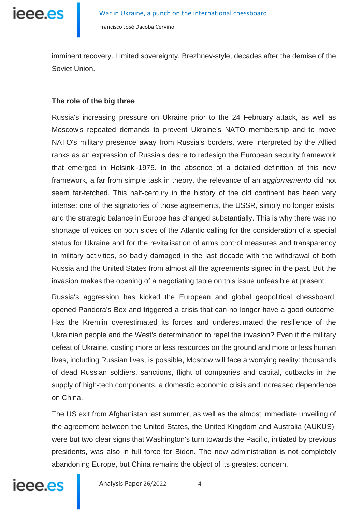ieee.es

Francisco José Dacoba Cerviño

imminent recovery. Limited sovereignty, Brezhnev-style, decades after the demise of the Soviet Union.

#### **The role of the big three**

Russia's increasing pressure on Ukraine prior to the 24 February attack, as well as Moscow's repeated demands to prevent Ukraine's NATO membership and to move NATO's military presence away from Russia's borders, were interpreted by the Allied ranks as an expression of Russia's desire to redesign the European security framework that emerged in Helsinki-1975. In the absence of a detailed definition of this new framework, a far from simple task in theory, the relevance of an *aggiornamento* did not seem far-fetched. This half-century in the history of the old continent has been very intense: one of the signatories of those agreements, the USSR, simply no longer exists, and the strategic balance in Europe has changed substantially. This is why there was no shortage of voices on both sides of the Atlantic calling for the consideration of a special status for Ukraine and for the revitalisation of arms control measures and transparency in military activities, so badly damaged in the last decade with the withdrawal of both Russia and the United States from almost all the agreements signed in the past. But the invasion makes the opening of a negotiating table on this issue unfeasible at present.

Russia's aggression has kicked the European and global geopolitical chessboard, opened Pandora's Box and triggered a crisis that can no longer have a good outcome. Has the Kremlin overestimated its forces and underestimated the resilience of the Ukrainian people and the West's determination to repel the invasion? Even if the military defeat of Ukraine, costing more or less resources on the ground and more or less human lives, including Russian lives, is possible, Moscow will face a worrying reality: thousands of dead Russian soldiers, sanctions, flight of companies and capital, cutbacks in the supply of high-tech components, a domestic economic crisis and increased dependence on China.

The US exit from Afghanistan last summer, as well as the almost immediate unveiling of the agreement between the United States, the United Kingdom and Australia (AUKUS), were but two clear signs that Washington's turn towards the Pacific, initiated by previous presidents, was also in full force for Biden. The new administration is not completely abandoning Europe, but China remains the object of its greatest concern.

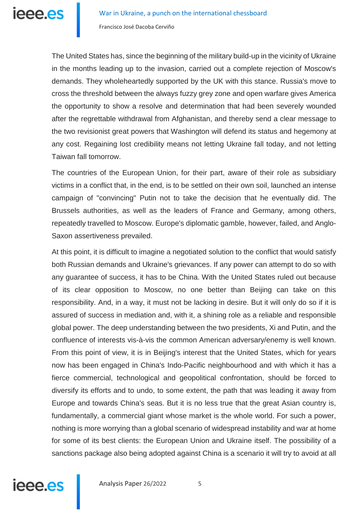The United States has, since the beginning of the military build-up in the vicinity of Ukraine in the months leading up to the invasion, carried out a complete rejection of Moscow's demands. They wholeheartedly supported by the UK with this stance. Russia's move to cross the threshold between the always fuzzy grey zone and open warfare gives America the opportunity to show a resolve and determination that had been severely wounded after the regrettable withdrawal from Afghanistan, and thereby send a clear message to the two revisionist great powers that Washington will defend its status and hegemony at any cost. Regaining lost credibility means not letting Ukraine fall today, and not letting Taiwan fall tomorrow.

The countries of the European Union, for their part, aware of their role as subsidiary victims in a conflict that, in the end, is to be settled on their own soil, launched an intense campaign of "convincing" Putin not to take the decision that he eventually did. The Brussels authorities, as well as the leaders of France and Germany, among others, repeatedly travelled to Moscow. Europe's diplomatic gamble, however, failed, and Anglo-Saxon assertiveness prevailed.

At this point, it is difficult to imagine a negotiated solution to the conflict that would satisfy both Russian demands and Ukraine's grievances. If any power can attempt to do so with any guarantee of success, it has to be China. With the United States ruled out because of its clear opposition to Moscow, no one better than Beijing can take on this responsibility. And, in a way, it must not be lacking in desire. But it will only do so if it is assured of success in mediation and, with it, a shining role as a reliable and responsible global power. The deep understanding between the two presidents, Xi and Putin, and the confluence of interests vis-à-vis the common American adversary/enemy is well known. From this point of view, it is in Beijing's interest that the United States, which for years now has been engaged in China's Indo-Pacific neighbourhood and with which it has a fierce commercial, technological and geopolitical confrontation, should be forced to diversify its efforts and to undo, to some extent, the path that was leading it away from Europe and towards China's seas. But it is no less true that the great Asian country is, fundamentally, a commercial giant whose market is the whole world. For such a power, nothing is more worrying than a global scenario of widespread instability and war at home for some of its best clients: the European Union and Ukraine itself. The possibility of a sanctions package also being adopted against China is a scenario it will try to avoid at all

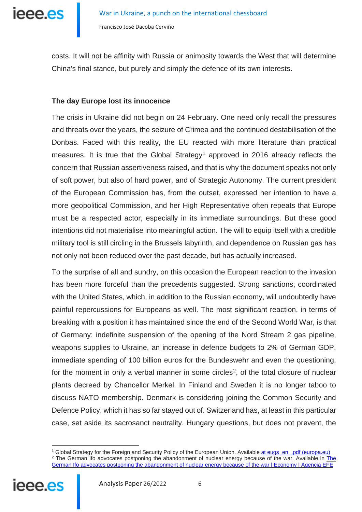

costs. It will not be affinity with Russia or animosity towards the West that will determine China's final stance, but purely and simply the defence of its own interests.

#### **The day Europe lost its innocence**

The crisis in Ukraine did not begin on 24 February. One need only recall the pressures and threats over the years, the seizure of Crimea and the continued destabilisation of the Donbas. Faced with this reality, the EU reacted with more literature than practical measures. It is true that the Global Strategy<sup>1</sup> approved in 2016 already reflects the concern that Russian assertiveness raised, and that is why the document speaks not only of soft power, but also of hard power, and of Strategic Autonomy. The current president of the European Commission has, from the outset, expressed her intention to have a more geopolitical Commission, and her High Representative often repeats that Europe must be a respected actor, especially in its immediate surroundings. But these good intentions did not materialise into meaningful action. The will to equip itself with a credible military tool is still circling in the Brussels labyrinth, and dependence on Russian gas has not only not been reduced over the past decade, but has actually increased.

To the surprise of all and sundry, on this occasion the European reaction to the invasion has been more forceful than the precedents suggested. Strong sanctions, coordinated with the United States, which, in addition to the Russian economy, will undoubtedly have painful repercussions for Europeans as well. The most significant reaction, in terms of breaking with a position it has maintained since the end of the Second World War, is that of Germany: indefinite suspension of the opening of the Nord Stream 2 gas pipeline, weapons supplies to Ukraine, an increase in defence budgets to 2% of German GDP, immediate spending of 100 billion euros for the Bundeswehr and even the questioning, for the moment in only a verbal manner in some circles<sup>[2](#page-5-1)</sup>, of the total closure of nuclear plants decreed by Chancellor Merkel. In Finland and Sweden it is no longer taboo to discuss NATO membership. Denmark is considering joining the Common Security and Defence Policy, which it has so far stayed out of. Switzerland has, at least in this particular case, set aside its sacrosanct neutrality. Hungary questions, but does not prevent, the

<u>.</u>

<span id="page-5-1"></span><span id="page-5-0"></span><sup>1</sup> Global Strategy for the Foreign and Security Policy of the European Union. Availabl[e at eugs\\_en\\_.pdf \(europa.eu\)](https://eeas.europa.eu/archives/docs/top_stories/pdf/eugs_es_.pdf) <sup>2</sup> [The](https://www.efe.com/efe/espana/economia/el-ifo-aleman-aboga-por-posponer-abandono-de-la-energia-nuclear-guerra/10003-4748843) German Ifo advocates postponing the abandonment of nuclear energy because of the war. Available in *The* [German Ifo advocates postponing the abandonment of nuclear energy because of the war | Economy | Agencia EFE](https://www.efe.com/efe/espana/economia/el-ifo-aleman-aboga-por-posponer-abandono-de-la-energia-nuclear-guerra/10003-4748843)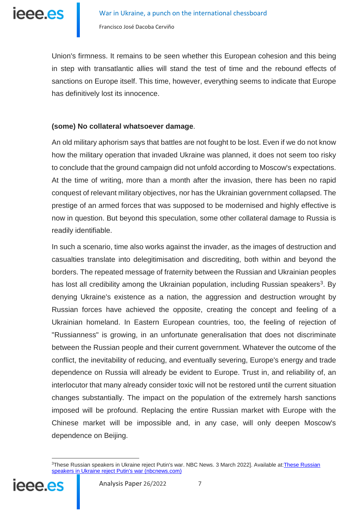

Union's firmness. It remains to be seen whether this European cohesion and this being in step with transatlantic allies will stand the test of time and the rebound effects of sanctions on Europe itself. This time, however, everything seems to indicate that Europe has definitively lost its innocence.

#### **(some) No collateral whatsoever damage**.

An old military aphorism says that battles are not fought to be lost. Even if we do not know how the military operation that invaded Ukraine was planned, it does not seem too risky to conclude that the ground campaign did not unfold according to Moscow's expectations. At the time of writing, more than a month after the invasion, there has been no rapid conquest of relevant military objectives, nor has the Ukrainian government collapsed. The prestige of an armed forces that was supposed to be modernised and highly effective is now in question. But beyond this speculation, some other collateral damage to Russia is readily identifiable.

In such a scenario, time also works against the invader, as the images of destruction and casualties translate into delegitimisation and discrediting, both within and beyond the borders. The repeated message of fraternity between the Russian and Ukrainian peoples has lost all credibility among the Ukrainian population, including Russian speakers<sup>3</sup>. By denying Ukraine's existence as a nation, the aggression and destruction wrought by Russian forces have achieved the opposite, creating the concept and feeling of a Ukrainian homeland. In Eastern European countries, too, the feeling of rejection of "Russianness" is growing, in an unfortunate generalisation that does not discriminate between the Russian people and their current government. Whatever the outcome of the conflict, the inevitability of reducing, and eventually severing, Europe's energy and trade dependence on Russia will already be evident to Europe. Trust in, and reliability of, an interlocutor that many already consider toxic will not be restored until the current situation changes substantially. The impact on the population of the extremely harsh sanctions imposed will be profound. Replacing the entire Russian market with Europe with the Chinese market will be impossible and, in any case, will only deepen Moscow's dependence on Beijing.

<span id="page-6-0"></span><sup>&</sup>lt;sup>3</sup>These Russian speakers in Ukraine reject Putin's war. NBC News. 3 March 2022]. Available at: These Russian [speakers in Ukraine reject Putin's war \(nbcnews.com\)](https://www.nbcnews.com/news/world/russian-speakers-ukraine-reject-putins-war-rcna18880)



<u>.</u>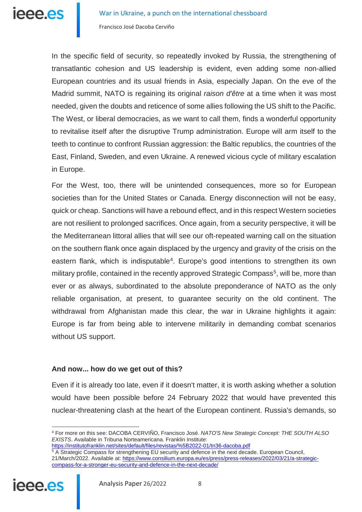In the specific field of security, so repeatedly invoked by Russia, the strengthening of transatlantic cohesion and US leadership is evident, even adding some non-allied European countries and its usual friends in Asia, especially Japan. On the eve of the Madrid summit, NATO is regaining its original *raison d'être* at a time when it was most needed, given the doubts and reticence of some allies following the US shift to the Pacific. The West, or liberal democracies, as we want to call them, finds a wonderful opportunity to revitalise itself after the disruptive Trump administration. Europe will arm itself to the teeth to continue to confront Russian aggression: the Baltic republics, the countries of the East, Finland, Sweden, and even Ukraine. A renewed vicious cycle of military escalation in Europe.

For the West, too, there will be unintended consequences, more so for European societies than for the United States or Canada. Energy disconnection will not be easy, quick or cheap. Sanctions will have a rebound effect, and in this respect Western societies are not resilient to prolonged sacrifices. Once again, from a security perspective, it will be the Mediterranean littoral allies that will see our oft-repeated warning call on the situation on the southern flank once again displaced by the urgency and gravity of the crisis on the eastern flank, which is indisputable<sup>4</sup>. Europe's good intentions to strengthen its own military profile, contained in the recently approved Strategic Compass<sup>[5](#page-7-1)</sup>, will be, more than ever or as always, subordinated to the absolute preponderance of NATO as the only reliable organisation, at present, to guarantee security on the old continent. The withdrawal from Afghanistan made this clear, the war in Ukraine highlights it again: Europe is far from being able to intervene militarily in demanding combat scenarios without US support.

#### **And now... how do we get out of this?**

Even if it is already too late, even if it doesn't matter, it is worth asking whether a solution would have been possible before 24 February 2022 that would have prevented this nuclear-threatening clash at the heart of the European continent. Russia's demands, so

<span id="page-7-1"></span><span id="page-7-0"></span><sup>5</sup> A Strategic Compass for strengthening EU security and defence in the next decade. European Council, 21/March/2022. Available at[: https://www.consilium.europa.eu/es/press/press-releases/2022/03/21/a-strategic](https://www.consilium.europa.eu/es/press/press-releases/2022/03/21/a-strategic-compass-for-a-stronger-eu-security-and-defence-in-the-next-decade/)[compass-for-a-stronger-eu-security-and-defence-in-the-next-decade/](https://www.consilium.europa.eu/es/press/press-releases/2022/03/21/a-strategic-compass-for-a-stronger-eu-security-and-defence-in-the-next-decade/)



<sup>&</sup>lt;u>.</u> <sup>4</sup> For more on this see: DACOBA CERVIÑO, Francisco José. *NATO'S New Strategic Concept: THE SOUTH ALSO EXISTS*. Available in Tribuna Norteamericana. Franklin Institute:

<https://institutofranklin.net/sites/default/files/revistas/%5B2022-01/tn36-dacoba.pdf>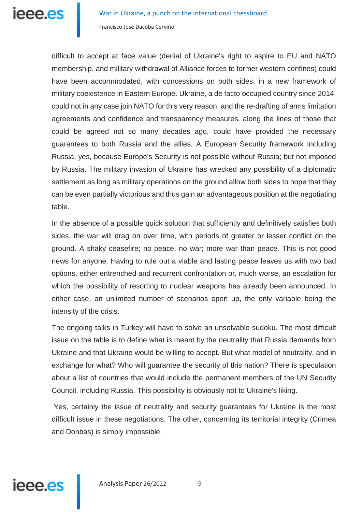

difficult to accept at face value (denial of Ukraine's right to aspire to EU and NATO membership, and military withdrawal of Alliance forces to former western confines) could have been accommodated, with concessions on both sides, in a new framework of military coexistence in Eastern Europe. Ukraine, a de facto occupied country since 2014, could not in any case join NATO for this very reason, and the re-drafting of arms limitation agreements and confidence and transparency measures, along the lines of those that could be agreed not so many decades ago, could have provided the necessary guarantees to both Russia and the allies. A European Security framework including Russia, yes, because Europe's Security is not possible without Russia; but not imposed by Russia. The military invasion of Ukraine has wrecked any possibility of a diplomatic settlement as long as military operations on the ground allow both sides to hope that they can be even partially victorious and thus gain an advantageous position at the negotiating table.

In the absence of a possible quick solution that sufficiently and definitively satisfies both sides, the war will drag on over time, with periods of greater or lesser conflict on the ground. A shaky ceasefire; no peace, no war; more war than peace. This is not good news for anyone. Having to rule out a viable and lasting peace leaves us with two bad options, either entrenched and recurrent confrontation or, much worse, an escalation for which the possibility of resorting to nuclear weapons has already been announced. In either case, an unlimited number of scenarios open up, the only variable being the intensity of the crisis.

The ongoing talks in Turkey will have to solve an unsolvable sudoku. The most difficult issue on the table is to define what is meant by the neutrality that Russia demands from Ukraine and that Ukraine would be willing to accept. But what model of neutrality, and in exchange for what? Who will guarantee the security of this nation? There is speculation about a list of countries that would include the permanent members of the UN Security Council, including Russia. This possibility is obviously not to Ukraine's liking.

Yes, certainly the issue of neutrality and security guarantees for Ukraine is the most difficult issue in these negotiations. The other, concerning its territorial integrity (Crimea and Donbas) is simply impossible.

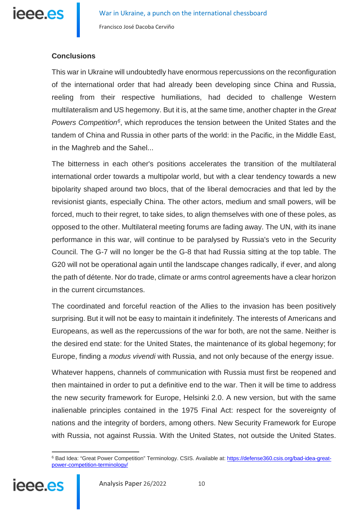

# **Conclusions**

This war in Ukraine will undoubtedly have enormous repercussions on the reconfiguration of the international order that had already been developing since China and Russia, reeling from their respective humiliations, had decided to challenge Western multilateralism and US hegemony. But it is, at the same time, another chapter in the *Great Powers Competitio[n6](#page-9-0)*, which reproduces the tension between the United States and the tandem of China and Russia in other parts of the world: in the Pacific, in the Middle East, in the Maghreb and the Sahel...

The bitterness in each other's positions accelerates the transition of the multilateral international order towards a multipolar world, but with a clear tendency towards a new bipolarity shaped around two blocs, that of the liberal democracies and that led by the revisionist giants, especially China. The other actors, medium and small powers, will be forced, much to their regret, to take sides, to align themselves with one of these poles, as opposed to the other. Multilateral meeting forums are fading away. The UN, with its inane performance in this war, will continue to be paralysed by Russia's veto in the Security Council. The G-7 will no longer be the G-8 that had Russia sitting at the top table. The G20 will not be operational again until the landscape changes radically, if ever, and along the path of détente. Nor do trade, climate or arms control agreements have a clear horizon in the current circumstances.

The coordinated and forceful reaction of the Allies to the invasion has been positively surprising. But it will not be easy to maintain it indefinitely. The interests of Americans and Europeans, as well as the repercussions of the war for both, are not the same. Neither is the desired end state: for the United States, the maintenance of its global hegemony; for Europe, finding a *modus vivendi* with Russia, and not only because of the energy issue.

Whatever happens, channels of communication with Russia must first be reopened and then maintained in order to put a definitive end to the war. Then it will be time to address the new security framework for Europe, Helsinki 2.0. A new version, but with the same inalienable principles contained in the 1975 Final Act: respect for the sovereignty of nations and the integrity of borders, among others. New Security Framework for Europe with Russia, not against Russia. With the United States, not outside the United States.

<span id="page-9-0"></span> $\overline{a}$ <sup>6</sup> Bad Idea: "Great Power Competition" Terminology. CSIS. Available at[: https://defense360.csis.org/bad-idea-great](https://defense360.csis.org/bad-idea-great-power-competition-terminology/)[power-competition-terminology/](https://defense360.csis.org/bad-idea-great-power-competition-terminology/)